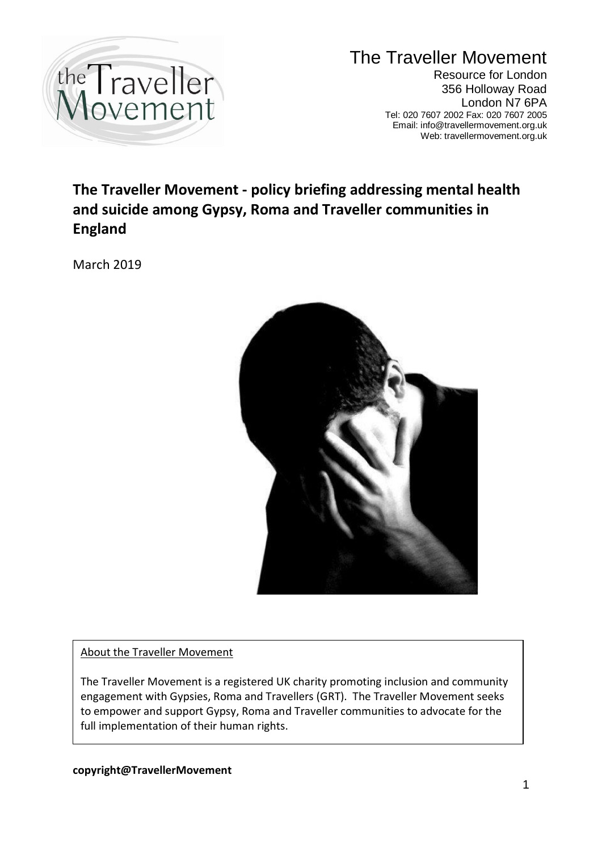

The Traveller Movement Resource for London 356 Holloway Road London N7 6PA Tel: 020 7607 2002 Fax: 020 7607 2005 Email: info@travellermovement.org.uk Web: travellermovement.org.uk

# **The Traveller Movement - policy briefing addressing mental health and suicide among Gypsy, Roma and Traveller communities in England**

March 2019



About the Traveller Movement

The Traveller Movement is a registered UK charity promoting inclusion and community engagement with Gypsies, Roma and Travellers (GRT). The Traveller Movement seeks to empower and support Gypsy, Roma and Traveller communities to advocate for the full implementation of their human rights.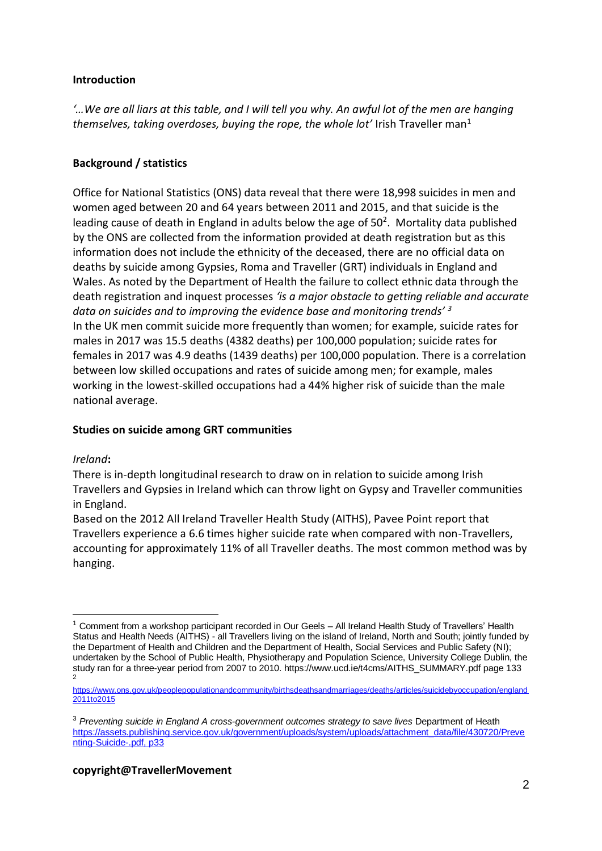#### **Introduction**

*'…We are all liars at this table, and I will tell you why. An awful lot of the men are hanging themselves, taking overdoses, buying the rope, the whole lot'* Irish Traveller man<sup>1</sup>

# **Background / statistics**

Office for National Statistics (ONS) data reveal that there were 18,998 suicides in men and women aged between 20 and 64 years between 2011 and 2015, and that suicide is the leading cause of death in England in adults below the age of  $50<sup>2</sup>$ . Mortality data published by the ONS are collected from the information provided at death registration but as this information does not include the ethnicity of the deceased, there are no official data on deaths by suicide among Gypsies, Roma and Traveller (GRT) individuals in England and Wales. As noted by the Department of Health the failure to collect ethnic data through the death registration and inquest processes *'is a major obstacle to getting reliable and accurate data on suicides and to improving the evidence base and monitoring trends' <sup>3</sup>* In the UK men commit suicide more frequently than women; for example, suicide rates for males in 2017 was 15.5 deaths (4382 deaths) per 100,000 population; suicide rates for females in 2017 was 4.9 deaths (1439 deaths) per 100,000 population. There is a correlation between low skilled occupations and rates of suicide among men; for example, males working in the lowest-skilled occupations had a 44% higher risk of suicide than the male national average.

## **Studies on suicide among GRT communities**

## *Ireland***:**

There is in-depth longitudinal research to draw on in relation to suicide among Irish Travellers and Gypsies in Ireland which can throw light on Gypsy and Traveller communities in England.

Based on the 2012 All Ireland Traveller Health Study (AITHS), Pavee Point report that Travellers experience a 6.6 times higher suicide rate when compared with non-Travellers, accounting for approximately 11% of all Traveller deaths. The most common method was by hanging.

<sup>1</sup> <sup>1</sup> Comment from a workshop participant recorded in Our Geels – All Ireland Health Study of Travellers' Health Status and Health Needs (AITHS) - all Travellers living on the island of Ireland, North and South; jointly funded by the Department of Health and Children and the Department of Health, Social Services and Public Safety (NI); undertaken by the School of Public Health, Physiotherapy and Population Science, University College Dublin, the study ran for a three-year period from 2007 to 2010. https://www.ucd.ie/t4cms/AITHS\_SUMMARY.pdf page 133 2

[https://www.ons.gov.uk/peoplepopulationandcommunity/birthsdeathsandmarriages/deaths/articles/suicidebyoccupation/england](https://www.ons.gov.uk/peoplepopulationandcommunity/birthsdeathsandmarriages/deaths/articles/suicidebyoccupation/england2011to2015) 2011to2015

<sup>&</sup>lt;sup>3</sup> Preventing suicide in England A cross-government outcomes strategy to save lives Department of Heath [https://assets.publishing.service.gov.uk/government/uploads/system/uploads/attachment\\_data/file/430720/Preve](https://assets.publishing.service.gov.uk/government/uploads/system/uploads/attachment_data/file/430720/Preventing-Suicide-.pdf,%20p33) [nting-Suicide-.pdf, p33](https://assets.publishing.service.gov.uk/government/uploads/system/uploads/attachment_data/file/430720/Preventing-Suicide-.pdf,%20p33)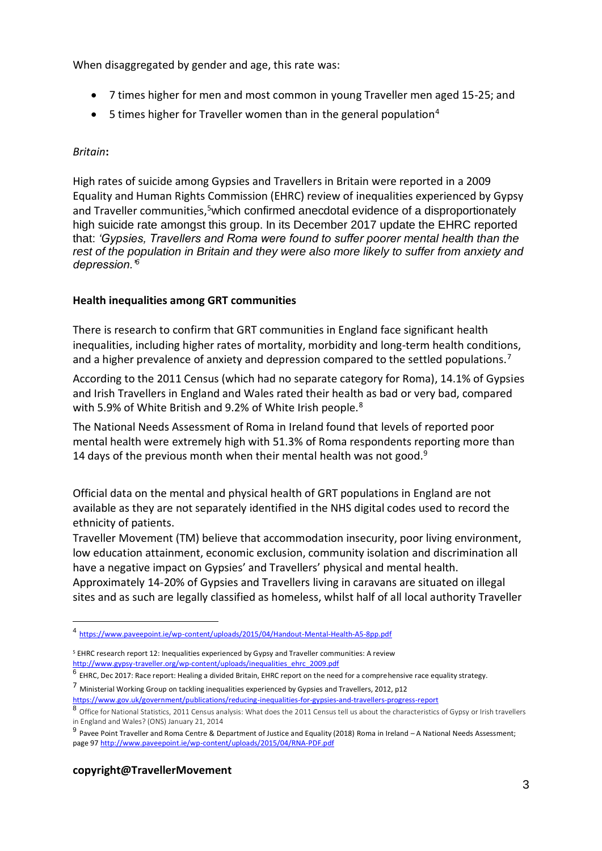When disaggregated by gender and age, this rate was:

- 7 times higher for men and most common in young Traveller men aged 15-25; and
- $\bullet$  5 times higher for Traveller women than in the general population<sup>4</sup>

#### *Britain***:**

High rates of suicide among Gypsies and Travellers in Britain were reported in a 2009 Equality and Human Rights Commission (EHRC) review of inequalities experienced by Gypsy and Traveller communities,<sup>5</sup>which confirmed anecdotal evidence of a disproportionately high suicide rate amongst this group. In its December 2017 update the EHRC reported that: *'Gypsies, Travellers and Roma were found to suffer poorer mental health than the rest of the population in Britain and they were also more likely to suffer from anxiety and depression.'<sup>6</sup>*

#### **Health inequalities among GRT communities**

There is research to confirm that GRT communities in England face significant health inequalities, including higher rates of mortality, morbidity and long-term health conditions, and a higher prevalence of anxiety and depression compared to the settled populations.<sup>7</sup>

According to the 2011 Census (which had no separate category for Roma), 14.1% of Gypsies and Irish Travellers in England and Wales rated their health as bad or very bad, compared with 5.9% of White British and 9.2% of White Irish people.<sup>8</sup>

The National Needs Assessment of Roma in Ireland found that levels of reported poor mental health were extremely high with 51.3% of Roma respondents reporting more than 14 days of the previous month when their mental health was not good.<sup>9</sup>

Official data on the mental and physical health of GRT populations in England are not available as they are not separately identified in the NHS digital codes used to record the ethnicity of patients.

Traveller Movement (TM) believe that accommodation insecurity, poor living environment, low education attainment, economic exclusion, community isolation and discrimination all have a negative impact on Gypsies' and Travellers' physical and mental health. Approximately 14-20% of Gypsies and Travellers living in caravans are situated on illegal sites and as such are legally classified as homeless, whilst half of all local authority Traveller

<sup>7</sup> Ministerial Working Group on tackling inequalities experienced by Gypsies and Travellers, 2012, p12 <https://www.gov.uk/government/publications/reducing-inequalities-for-gypsies-and-travellers-progress-report>

#### **copyright@TravellerMovement**

1

<sup>4</sup> <https://www.paveepoint.ie/wp-content/uploads/2015/04/Handout-Mental-Health-A5-8pp.pdf>

<sup>5</sup> EHRC research report 12: Inequalities experienced by Gypsy and Traveller communities: A review [http://www.gypsy-traveller.org/wp-content/uploads/inequalities\\_ehrc\\_2009.pdf](http://www.gypsy-traveller.org/wp-content/uploads/inequalities_ehrc_2009.pdf)

 $^6$  EHRC, Dec 2017: Race report: Healing a divided Britain, EHRC report on the need for a comprehensive race equality strategy.

<sup>8</sup> Office for National Statistics, 2011 Census analysis: What does the 2011 Census tell us about the characteristics of Gypsy or Irish travellers in England and Wales? (ONS) January 21, 2014

<sup>9</sup> Pavee Point Traveller and Roma Centre & Department of Justice and Equality (2018) Roma in Ireland – A National Needs Assessment; page 9[7 http://www.paveepoint.ie/wp-content/uploads/2015/04/RNA-PDF.pdf](http://www.paveepoint.ie/wp-content/uploads/2015/04/RNA-PDF.pdf)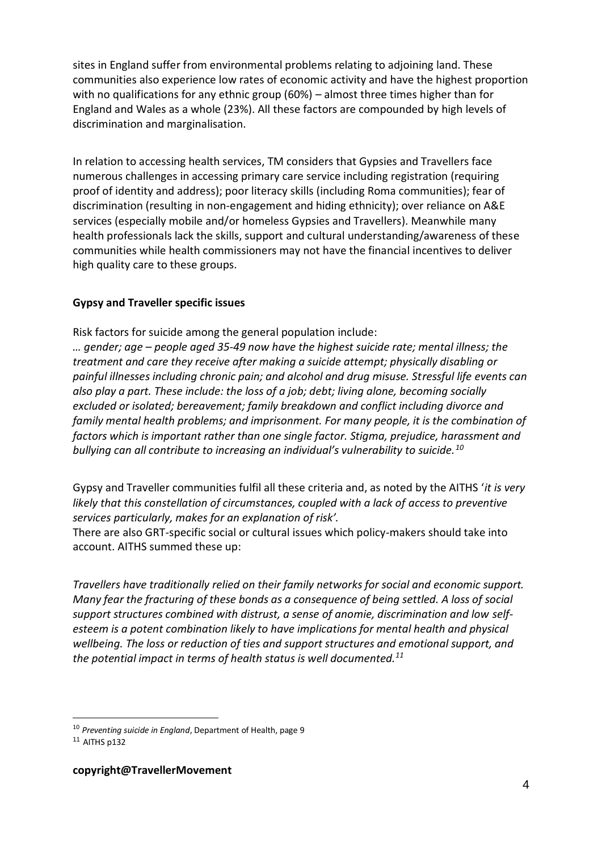sites in England suffer from environmental problems relating to adjoining land. These communities also experience low rates of economic activity and have the highest proportion with no qualifications for any ethnic group (60%) – almost three times higher than for England and Wales as a whole (23%). All these factors are compounded by high levels of discrimination and marginalisation.

In relation to accessing health services, TM considers that Gypsies and Travellers face numerous challenges in accessing primary care service including registration (requiring proof of identity and address); poor literacy skills (including Roma communities); fear of discrimination (resulting in non-engagement and hiding ethnicity); over reliance on A&E services (especially mobile and/or homeless Gypsies and Travellers). Meanwhile many health professionals lack the skills, support and cultural understanding/awareness of these communities while health commissioners may not have the financial incentives to deliver high quality care to these groups.

## **Gypsy and Traveller specific issues**

Risk factors for suicide among the general population include:

*… gender; age – people aged 35-49 now have the highest suicide rate; mental illness; the treatment and care they receive after making a suicide attempt; physically disabling or painful illnesses including chronic pain; and alcohol and drug misuse. Stressful life events can also play a part. These include: the loss of a job; debt; living alone, becoming socially excluded or isolated; bereavement; family breakdown and conflict including divorce and family mental health problems; and imprisonment. For many people, it is the combination of factors which is important rather than one single factor. Stigma, prejudice, harassment and bullying can all contribute to increasing an individual's vulnerability to suicide.<sup>10</sup>*

Gypsy and Traveller communities fulfil all these criteria and, as noted by the AITHS '*it is very likely that this constellation of circumstances, coupled with a lack of access to preventive services particularly, makes for an explanation of risk'.* 

There are also GRT-specific social or cultural issues which policy-makers should take into account. AITHS summed these up:

*Travellers have traditionally relied on their family networks for social and economic support. Many fear the fracturing of these bonds as a consequence of being settled. A loss of social support structures combined with distrust, a sense of anomie, discrimination and low selfesteem is a potent combination likely to have implications for mental health and physical wellbeing. The loss or reduction of ties and support structures and emotional support, and the potential impact in terms of health status is well documented.<sup>11</sup>*

1

<sup>10</sup> *Preventing suicide in England*, Department of Health, page 9

 $11$  AITHS p132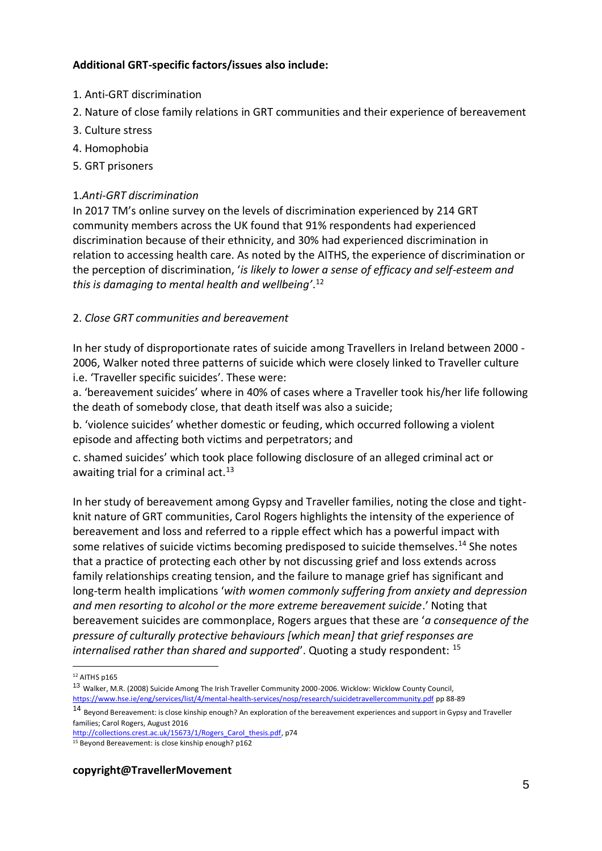# **Additional GRT-specific factors/issues also include:**

- 1. Anti-GRT discrimination
- 2. Nature of close family relations in GRT communities and their experience of bereavement
- 3. Culture stress
- 4. Homophobia
- 5. GRT prisoners

# 1.*Anti-GRT discrimination*

In 2017 TM's online survey on the levels of discrimination experienced by 214 GRT community members across the UK found that 91% respondents had experienced discrimination because of their ethnicity, and 30% had experienced discrimination in relation to accessing health care. As noted by the AITHS, the experience of discrimination or the perception of discrimination, '*is likely to lower a sense of efficacy and self-esteem and this is damaging to mental health and wellbeing'*. 12

# 2. *Close GRT communities and bereavement*

In her study of disproportionate rates of suicide among Travellers in Ireland between 2000 - 2006, Walker noted three patterns of suicide which were closely linked to Traveller culture i.e. 'Traveller specific suicides'. These were:

a. 'bereavement suicides' where in 40% of cases where a Traveller took his/her life following the death of somebody close, that death itself was also a suicide;

b. 'violence suicides' whether domestic or feuding, which occurred following a violent episode and affecting both victims and perpetrators; and

c. shamed suicides' which took place following disclosure of an alleged criminal act or awaiting trial for a criminal act.<sup>13</sup>

In her study of bereavement among Gypsy and Traveller families, noting the close and tightknit nature of GRT communities, Carol Rogers highlights the intensity of the experience of bereavement and loss and referred to a ripple effect which has a powerful impact with some relatives of suicide victims becoming predisposed to suicide themselves.<sup>14</sup> She notes that a practice of protecting each other by not discussing grief and loss extends across family relationships creating tension, and the failure to manage grief has significant and long-term health implications '*with women commonly suffering from anxiety and depression and men resorting to alcohol or the more extreme bereavement suicide*.' Noting that bereavement suicides are commonplace, Rogers argues that these are '*a consequence of the pressure of culturally protective behaviours [which mean] that grief responses are internalised rather than shared and supported*'. Quoting a study respondent: <sup>15</sup>

[http://collections.crest.ac.uk/15673/1/Rogers\\_Carol\\_thesis.pdf,](http://collections.crest.ac.uk/15673/1/Rogers_Carol_thesis.pdf) p74

## **copyright@TravellerMovement**

<sup>1</sup>  $12$  AITHS p165

<sup>13</sup> Walker, M.R. (2008) Suicide Among The Irish Traveller Community 2000-2006. Wicklow: Wicklow County Council, <https://www.hse.ie/eng/services/list/4/mental-health-services/nosp/research/suicidetravellercommunity.pdf> pp 88-89

<sup>14</sup> Beyond Bereavement: is close kinship enough? An exploration of the bereavement experiences and support in Gypsy and Traveller families; Carol Rogers, August 2016

<sup>15</sup> Beyond Bereavement: is close kinship enough? p162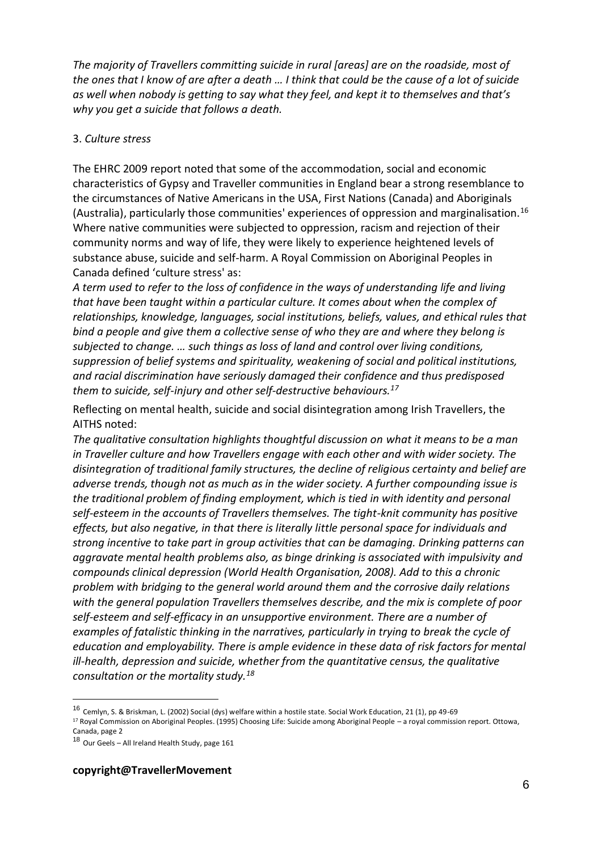*The majority of Travellers committing suicide in rural [areas] are on the roadside, most of the ones that I know of are after a death … I think that could be the cause of a lot of suicide as well when nobody is getting to say what they feel, and kept it to themselves and that's why you get a suicide that follows a death.*

#### 3. *Culture stress*

The EHRC 2009 report noted that some of the accommodation, social and economic characteristics of Gypsy and Traveller communities in England bear a strong resemblance to the circumstances of Native Americans in the USA, First Nations (Canada) and Aboriginals (Australia), particularly those communities' experiences of oppression and marginalisation.<sup>16</sup> Where native communities were subjected to oppression, racism and rejection of their community norms and way of life, they were likely to experience heightened levels of substance abuse, suicide and self-harm. A Royal Commission on Aboriginal Peoples in Canada defined 'culture stress' as:

*A term used to refer to the loss of confidence in the ways of understanding life and living that have been taught within a particular culture. It comes about when the complex of relationships, knowledge, languages, social institutions, beliefs, values, and ethical rules that bind a people and give them a collective sense of who they are and where they belong is subjected to change. … such things as loss of land and control over living conditions, suppression of belief systems and spirituality, weakening of social and political institutions, and racial discrimination have seriously damaged their confidence and thus predisposed them to suicide, self-injury and other self-destructive behaviours.<sup>17</sup>*

Reflecting on mental health, suicide and social disintegration among Irish Travellers, the AITHS noted:

*The qualitative consultation highlights thoughtful discussion on what it means to be a man in Traveller culture and how Travellers engage with each other and with wider society. The disintegration of traditional family structures, the decline of religious certainty and belief are adverse trends, though not as much as in the wider society. A further compounding issue is the traditional problem of finding employment, which is tied in with identity and personal self-esteem in the accounts of Travellers themselves. The tight-knit community has positive effects, but also negative, in that there is literally little personal space for individuals and strong incentive to take part in group activities that can be damaging. Drinking patterns can aggravate mental health problems also, as binge drinking is associated with impulsivity and compounds clinical depression (World Health Organisation, 2008). Add to this a chronic problem with bridging to the general world around them and the corrosive daily relations with the general population Travellers themselves describe, and the mix is complete of poor self-esteem and self-efficacy in an unsupportive environment. There are a number of examples of fatalistic thinking in the narratives, particularly in trying to break the cycle of education and employability. There is ample evidence in these data of risk factors for mental ill-health, depression and suicide, whether from the quantitative census, the qualitative consultation or the mortality study.<sup>18</sup>*

<sup>17</sup> Royal Commission on Aboriginal Peoples. (1995) Choosing Life: Suicide among Aboriginal People – a royal commission report. Ottowa,

1

<sup>16</sup> Cemlyn, S. & Briskman, L. (2002) Social (dys) welfare within a hostile state. Social Work Education, 21 (1), pp 49-69

Canada, page 2

<sup>18</sup> Our Geels - All Ireland Health Study, page 161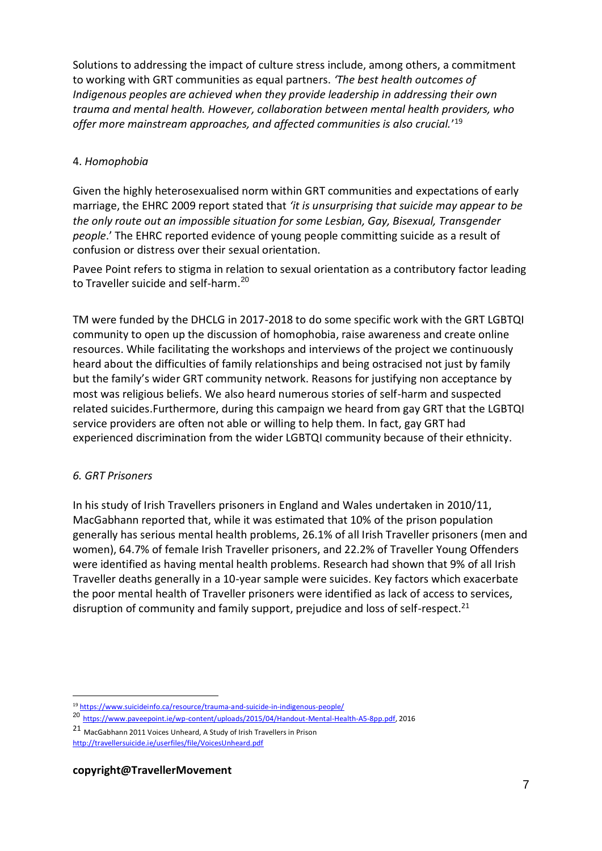Solutions to addressing the impact of culture stress include, among others, a commitment to working with GRT communities as equal partners. *'The best health outcomes of Indigenous peoples are achieved when they provide leadership in addressing their own trauma and mental health. However, collaboration between mental health providers, who offer more mainstream approaches, and affected communities is also crucial.*' 19

## 4. *Homophobia*

Given the highly heterosexualised norm within GRT communities and expectations of early marriage, the EHRC 2009 report stated that *'it is unsurprising that suicide may appear to be the only route out an impossible situation for some Lesbian, Gay, Bisexual, Transgender people*.' The EHRC reported evidence of young people committing suicide as a result of confusion or distress over their sexual orientation.

Pavee Point refers to stigma in relation to sexual orientation as a contributory factor leading to Traveller suicide and self-harm. 20

TM were funded by the DHCLG in 2017-2018 to do some specific work with the GRT LGBTQI community to open up the discussion of homophobia, raise awareness and create online resources. While facilitating the workshops and interviews of the project we continuously heard about the difficulties of family relationships and being ostracised not just by family but the family's wider GRT community network. Reasons for justifying non acceptance by most was religious beliefs. We also heard numerous stories of self-harm and suspected related suicides.Furthermore, during this campaign we heard from gay GRT that the LGBTQI service providers are often not able or willing to help them. In fact, gay GRT had experienced discrimination from the wider LGBTQI community because of their ethnicity.

## *6. GRT Prisoners*

In his study of Irish Travellers prisoners in England and Wales undertaken in 2010/11, MacGabhann reported that, while it was estimated that 10% of the prison population generally has serious mental health problems, 26.1% of all Irish Traveller prisoners (men and women), 64.7% of female Irish Traveller prisoners, and 22.2% of Traveller Young Offenders were identified as having mental health problems. Research had shown that 9% of all Irish Traveller deaths generally in a 10-year sample were suicides. Key factors which exacerbate the poor mental health of Traveller prisoners were identified as lack of access to services, disruption of community and family support, prejudice and loss of self-respect.<sup>21</sup>

<sup>1</sup> <sup>19</sup> <https://www.suicideinfo.ca/resource/trauma-and-suicide-in-indigenous-people/>

<sup>20</sup> [https://www.paveepoint.ie/wp-content/uploads/2015/04/Handout-Mental-Health-A5-8pp.pdf,](https://www.paveepoint.ie/wp-content/uploads/2015/04/Handout-Mental-Health-A5-8pp.pdf) 2016

<sup>21</sup> MacGabhann 2011 Voices Unheard, A Study of Irish Travellers in Prison

<http://travellersuicide.ie/userfiles/file/VoicesUnheard.pdf>